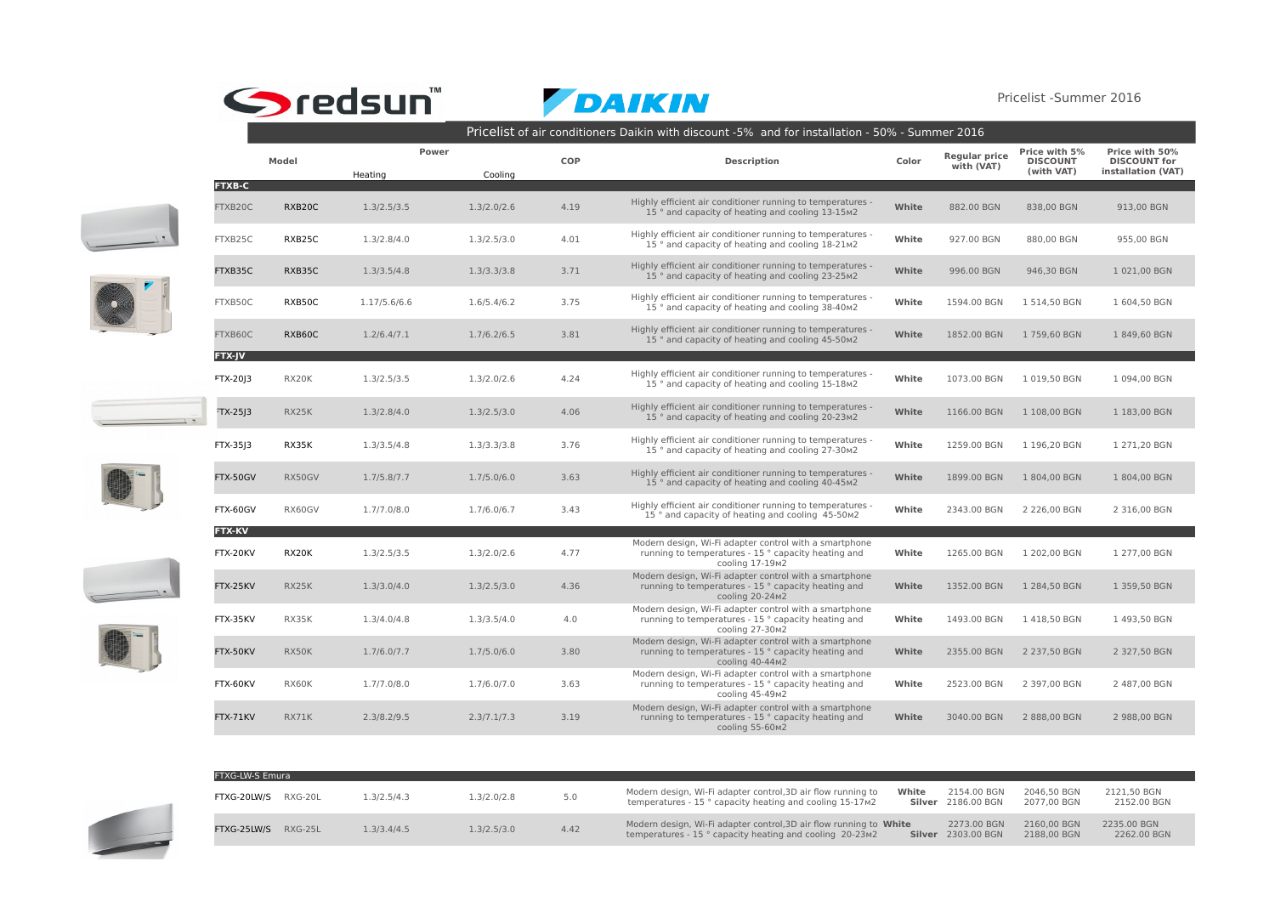## Sredsun

DAIKIN

Pricelist -Summer 2016

|  |                           | Pricelist of air conditioners Daikin with discount -5% and for installation - 50% - Summer 2016 |                  |             |            |                                                                                                                                  |       |                                    |                                                |                                                             |  |
|--|---------------------------|-------------------------------------------------------------------------------------------------|------------------|-------------|------------|----------------------------------------------------------------------------------------------------------------------------------|-------|------------------------------------|------------------------------------------------|-------------------------------------------------------------|--|
|  |                           | Model                                                                                           | Power<br>Heating | Cooling     | <b>COP</b> | <b>Description</b>                                                                                                               | Color | <b>Regular price</b><br>with (VAT) | Price with 5%<br><b>DISCOUNT</b><br>(with VAT) | Price with 50%<br><b>DISCOUNT for</b><br>installation (VAT) |  |
|  | <b>FTXB-C</b><br>FTXB20C  | RXB20C                                                                                          | 1.3/2.5/3.5      | 1.3/2.0/2.6 | 4.19       | Highly efficient air conditioner running to temperatures -<br>15° and capacity of heating and cooling 13-15m2                    | White | 882.00 BGN                         | 838,00 BGN                                     | 913,00 BGN                                                  |  |
|  | FTXB25C                   | RXB25C                                                                                          | 1.3/2.8/4.0      | 1.3/2.5/3.0 | 4.01       | Highly efficient air conditioner running to temperatures -<br>15° and capacity of heating and cooling 18-21M2                    | White | 927.00 BGN                         | 880,00 BGN                                     | 955,00 BGN                                                  |  |
|  | FTXB35C                   | RXB35C                                                                                          | 1.3/3.5/4.8      | 1.3/3.3/3.8 | 3.71       | Highly efficient air conditioner running to temperatures -<br>15° and capacity of heating and cooling 23-25m2                    | White | 996.00 BGN                         | 946,30 BGN                                     | 1 021,00 BGN                                                |  |
|  | FTXB50C                   | RXB50C                                                                                          | 1.17/5.6/6.6     | 1.6/5.4/6.2 | 3.75       | Highly efficient air conditioner running to temperatures -<br>15° and capacity of heating and cooling 38-40m2                    | White | 1594.00 BGN                        | 1 514,50 BGN                                   | 1 604,50 BGN                                                |  |
|  | FTXB60C                   | RXB60C                                                                                          | 1.2/6.4/7.1      | 1.7/6.2/6.5 | 3.81       | Highly efficient air conditioner running to temperatures -<br>15° and capacity of heating and cooling 45-50m2                    | White | 1852.00 BGN                        | 1759.60 BGN                                    | 1849.60 BGN                                                 |  |
|  | FTX-JV<br><b>FTX-2013</b> | RX20K                                                                                           | 1.3/2.5/3.5      | 1.3/2.0/2.6 | 4.24       | Highly efficient air conditioner running to temperatures -<br>15° and capacity of heating and cooling 15-18m2                    | White | 1073.00 BGN                        | 1 019,50 BGN                                   | 1 094,00 BGN                                                |  |
|  | TX-25J3                   | RX25K                                                                                           | 1.3/2.8/4.0      | 1.3/2.5/3.0 | 4.06       | Highly efficient air conditioner running to temperatures -<br>15° and capacity of heating and cooling 20-23m2                    | White | 1166.00 BGN                        | 1 108,00 BGN                                   | 1 183,00 BGN                                                |  |
|  | FTX-3513                  | RX35K                                                                                           | 1.3/3.5/4.8      | 1.3/3.3/3.8 | 3.76       | Highly efficient air conditioner running to temperatures -<br>15 ° and capacity of heating and cooling 27-30m2                   | White | 1259.00 BGN                        | 1 196.20 BGN                                   | 1 271.20 BGN                                                |  |
|  | FTX-50GV                  | RX50GV                                                                                          | 1.7/5.8/7.7      | 1.7/5.0/6.0 | 3.63       | Highly efficient air conditioner running to temperatures -<br>15° and capacity of heating and cooling 40-45m2                    | White | 1899.00 BGN                        | 1804,00 BGN                                    | 1804,00 BGN                                                 |  |
|  | FTX-60GV                  | RX60GV                                                                                          | 1.7/7.0/8.0      | 1.7/6.0/6.7 | 3.43       | Highly efficient air conditioner running to temperatures -<br>15° and capacity of heating and cooling 45-50m2                    | White | 2343.00 BGN                        | 2 226,00 BGN                                   | 2 316,00 BGN                                                |  |
|  | <b>FTX-KV</b><br>FTX-20KV | RX20K                                                                                           | 1.3/2.5/3.5      | 1.3/2.0/2.6 | 4.77       | Modern design, Wi-Fi adapter control with a smartphone<br>running to temperatures - 15 ° capacity heating and<br>cooling 17-19m2 | White | 1265.00 BGN                        | 1 202,00 BGN                                   | 1 277,00 BGN                                                |  |
|  | FTX-25KV                  | RX25K                                                                                           | 1.3/3.0/4.0      | 1.3/2.5/3.0 | 4.36       | Modern design, Wi-Fi adapter control with a smartphone<br>running to temperatures - 15 ° capacity heating and<br>cooling 20-24m2 | White | 1352.00 BGN                        | 1 284,50 BGN                                   | 1 359,50 BGN                                                |  |
|  | FTX-35KV                  | RX35K                                                                                           | 1.3/4.0/4.8      | 1.3/3.5/4.0 | 4.0        | Modern design, Wi-Fi adapter control with a smartphone<br>running to temperatures - 15 ° capacity heating and<br>cooling 27-30m2 | White | 1493.00 BGN                        | 1418,50 BGN                                    | 1493,50 BGN                                                 |  |
|  | FTX-50KV                  | RX50K                                                                                           | 1.7/6.0/7.7      | 1.7/5.0/6.0 | 3.80       | Modern design, Wi-Fi adapter control with a smartphone<br>running to temperatures - 15 ° capacity heating and<br>cooling 40-44m2 | White | 2355.00 BGN                        | 2 237,50 BGN                                   | 2 327,50 BGN                                                |  |
|  | FTX-60KV                  | RX60K                                                                                           | 1.7/7.0/8.0      | 1.7/6.0/7.0 | 3.63       | Modern design, Wi-Fi adapter control with a smartphone<br>running to temperatures - 15 ° capacity heating and<br>cooling 45-49m2 | White | 2523.00 BGN                        | 2 397,00 BGN                                   | 2 487,00 BGN                                                |  |
|  | FTX-71KV                  | RX71K                                                                                           | 2.3/8.2/9.5      | 2.3/7.1/7.3 | 3.19       | Modern design, Wi-Fi adapter control with a smartphone<br>running to temperatures - 15 ° capacity heating and<br>cooling 55-60m2 | White | 3040.00 BGN                        | 2 888,00 BGN                                   | 2 988,00 BGN                                                |  |



 $FTVC-1MLC-<sub>2</sub>$ 

| FTXG-LW-S Emura |           |             |             |      |                                                                                                                                |       |                                          |                            |                            |
|-----------------|-----------|-------------|-------------|------|--------------------------------------------------------------------------------------------------------------------------------|-------|------------------------------------------|----------------------------|----------------------------|
| FTXG-20LW/S     | RXG-20L   | .3/2.5/4.3  | .3/2.0/2.8  | 5.0  | Modern design, Wi-Fi adapter control, 3D air flow running to<br>temperatures - 15 ° capacity heating and cooling 15-17m2       | White | 2154.00 BGN<br><b>Silver</b> 2186.00 BGN | 2046.50 BGN<br>2077.00 BGN | 2121.50 BGN<br>2152.00 BGN |
| FTXG-25LW/S     | $RXG-25L$ | 1.3/3.4/4.5 | 1.3/2.5/3.0 | 4.42 | Modern design, Wi-Fi adapter control, 3D air flow running to White<br>temperatures - 15 ° capacity heating and cooling 20-23m2 |       | 2273.00 BGN<br><b>Silver</b> 2303.00 BGN | 2160.00 BGN<br>2188.00 BGN | 2235.00 BGN<br>2262.00 BGN |